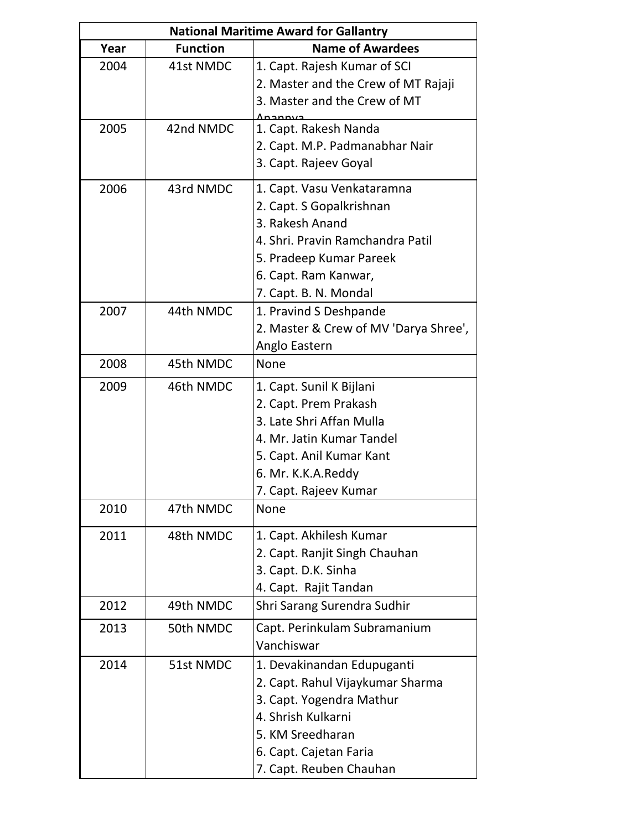|      |                 | <b>National Maritime Award for Gallantry</b> |
|------|-----------------|----------------------------------------------|
| Year | <b>Function</b> | <b>Name of Awardees</b>                      |
| 2004 | 41st NMDC       | 1. Capt. Rajesh Kumar of SCI                 |
|      |                 | 2. Master and the Crew of MT Rajaji          |
|      |                 | 3. Master and the Crew of MT                 |
| 2005 | 42nd NMDC       | 1. Capt. Rakesh Nanda                        |
|      |                 | 2. Capt. M.P. Padmanabhar Nair               |
|      |                 | 3. Capt. Rajeev Goyal                        |
| 2006 | 43rd NMDC       | 1. Capt. Vasu Venkataramna                   |
|      |                 | 2. Capt. S Gopalkrishnan                     |
|      |                 | 3. Rakesh Anand                              |
|      |                 | 4. Shri. Pravin Ramchandra Patil             |
|      |                 | 5. Pradeep Kumar Pareek                      |
|      |                 | 6. Capt. Ram Kanwar,                         |
|      |                 | 7. Capt. B. N. Mondal                        |
| 2007 | 44th NMDC       | 1. Pravind S Deshpande                       |
|      |                 | 2. Master & Crew of MV 'Darya Shree',        |
|      |                 | Anglo Eastern                                |
| 2008 | 45th NMDC       | None                                         |
| 2009 | 46th NMDC       | 1. Capt. Sunil K Bijlani                     |
|      |                 | 2. Capt. Prem Prakash                        |
|      |                 | 3. Late Shri Affan Mulla                     |
|      |                 | 4. Mr. Jatin Kumar Tandel                    |
|      |                 | 5. Capt. Anil Kumar Kant                     |
|      |                 | 6. Mr. K.K.A.Reddy                           |
|      |                 | 7. Capt. Rajeev Kumar                        |
| 2010 | 47th NMDC       | None                                         |
| 2011 | 48th NMDC       | 1. Capt. Akhilesh Kumar                      |
|      |                 | 2. Capt. Ranjit Singh Chauhan                |
|      |                 | 3. Capt. D.K. Sinha                          |
|      |                 | 4. Capt. Rajit Tandan                        |
| 2012 | 49th NMDC       | Shri Sarang Surendra Sudhir                  |
| 2013 | 50th NMDC       | Capt. Perinkulam Subramanium                 |
|      |                 | Vanchiswar                                   |
| 2014 | 51st NMDC       | 1. Devakinandan Edupuganti                   |
|      |                 | 2. Capt. Rahul Vijaykumar Sharma             |
|      |                 | 3. Capt. Yogendra Mathur                     |
|      |                 | 4. Shrish Kulkarni                           |
|      |                 | 5. KM Sreedharan                             |
|      |                 | 6. Capt. Cajetan Faria                       |
|      |                 | 7. Capt. Reuben Chauhan                      |